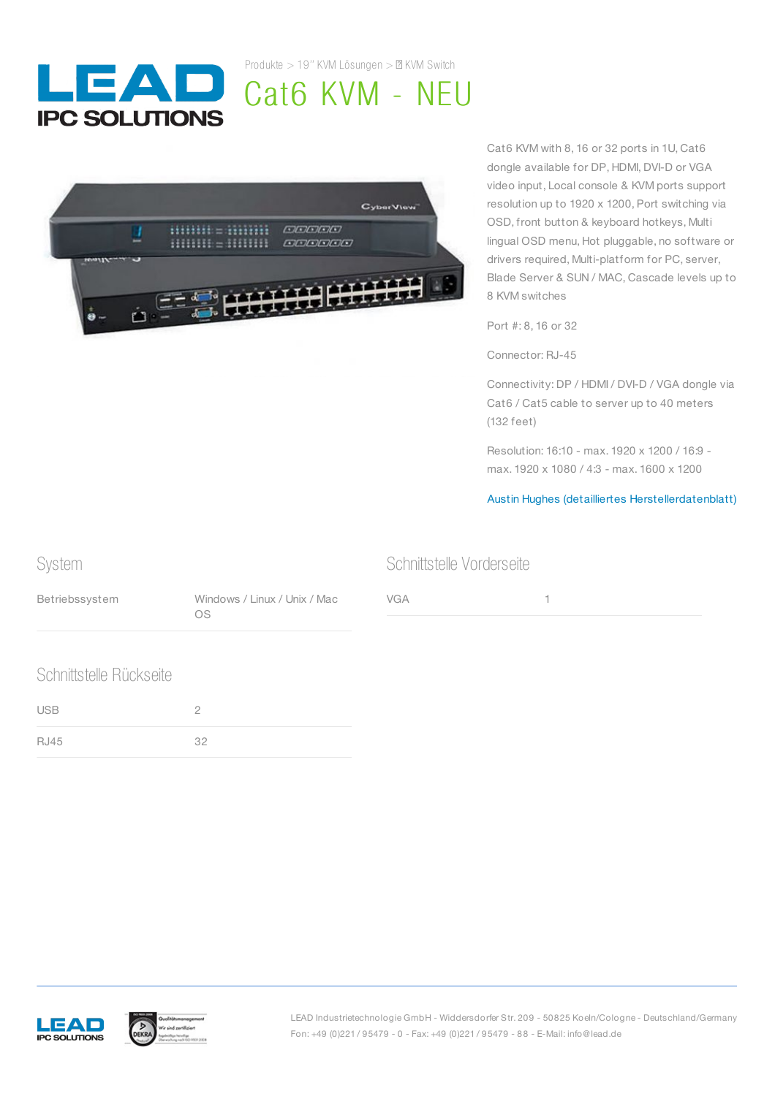

Produkte  $> 19$ " KVM Lösungen  $> \mathbb{Z}$  KVM Switch

## Cat6 KVM - NEU



Cat6 KVM with 8, 16 or 32 ports in 1U, Cat6 dongle available for DP, HDMI, DVI-D or VGA video input, Local console & KVM ports support resolution up to 1920 x 1200, Port switching via OSD, front button & keyboard hotkeys, Multi lingual OSD menu, Hot pluggable, no software or drivers required, Multi-platform for PC, server, Blade Server & SUN / MAC, Cascade levels up to 8 KVM switches

Port #: 8, 16 or 32

Connector: RJ-45

Connectivity: DP / HDMI / DVI-D / VGA dongle via Cat6 / Cat5 cable to server up to 40 meters (132 feet)

Resolution: 16:10 - max. 1920 x 1200 / 16:9 max. 1920 x 1080 / 4:3 - max. 1600 x 1200

Austin Hughes (detailliertes [Herstellerdatenblatt\)](https://www.austin-hughes.com/support/productsheet/cyberview/PS-CV-UKVM.pdf)

## System Betriebssystem Windows / Linux / Unix / Mac OS Schnittstelle Vorderseite VGA 1 Schnittstelle Rückseite USB 2

RJ45 32



LEAD Industrietechnologie GmbH - Widdersdorfer Str. 209 - 50825 Koeln/Cologne - Deutschland/Germany Fon: +49 (0)221 / 95479 - 0 - Fax: +49 (0)221 / 95479 - 88 - E-Mail: info@lead.de